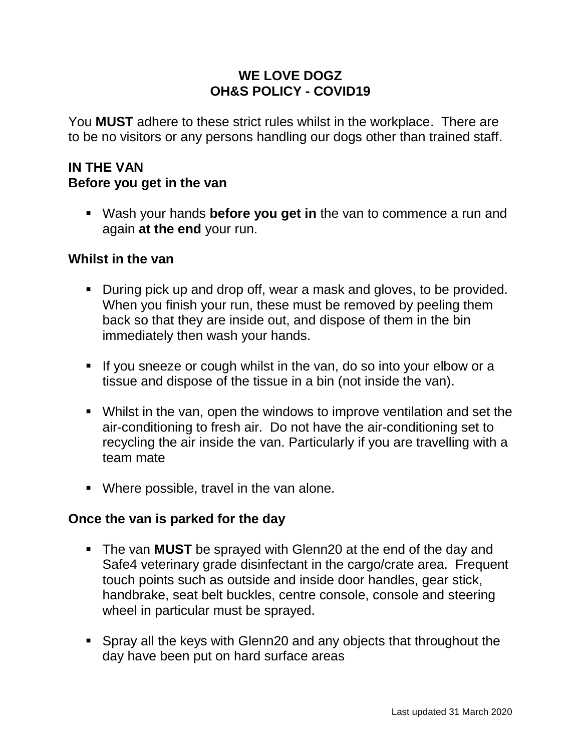### **WE LOVE DOGZ OH&S POLICY - COVID19**

You **MUST** adhere to these strict rules whilst in the workplace. There are to be no visitors or any persons handling our dogs other than trained staff.

### **IN THE VAN Before you get in the van**

 Wash your hands **before you get in** the van to commence a run and again **at the end** your run.

#### **Whilst in the van**

- During pick up and drop off, wear a mask and gloves, to be provided. When you finish your run, these must be removed by peeling them back so that they are inside out, and dispose of them in the bin immediately then wash your hands.
- If you sneeze or cough whilst in the van, do so into your elbow or a tissue and dispose of the tissue in a bin (not inside the van).
- Whilst in the van, open the windows to improve ventilation and set the air-conditioning to fresh air. Do not have the air-conditioning set to recycling the air inside the van. Particularly if you are travelling with a team mate
- Where possible, travel in the van alone.

#### **Once the van is parked for the day**

- The van **MUST** be sprayed with Glenn20 at the end of the day and Safe4 veterinary grade disinfectant in the cargo/crate area. Frequent touch points such as outside and inside door handles, gear stick, handbrake, seat belt buckles, centre console, console and steering wheel in particular must be sprayed.
- Spray all the keys with Glenn20 and any objects that throughout the day have been put on hard surface areas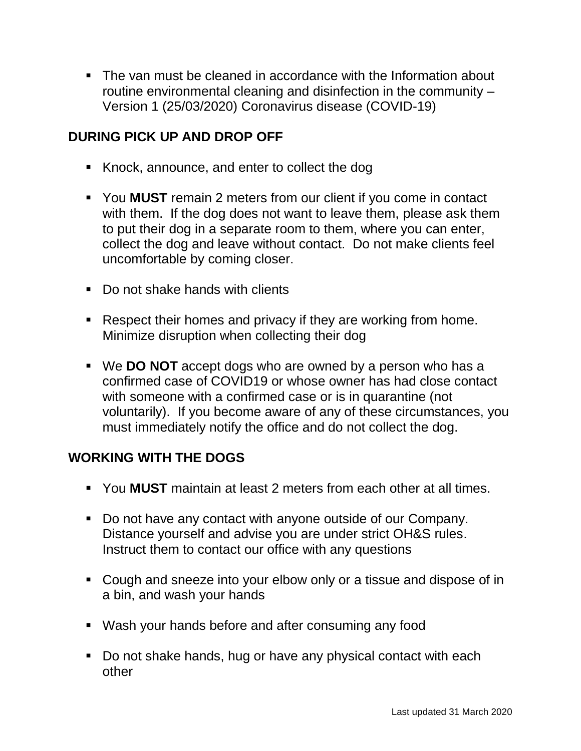• The van must be cleaned in accordance with the Information about routine environmental cleaning and disinfection in the community – Version 1 (25/03/2020) Coronavirus disease (COVID-19)

# **DURING PICK UP AND DROP OFF**

- Knock, announce, and enter to collect the dog
- You **MUST** remain 2 meters from our client if you come in contact with them. If the dog does not want to leave them, please ask them to put their dog in a separate room to them, where you can enter, collect the dog and leave without contact. Do not make clients feel uncomfortable by coming closer.
- Do not shake hands with clients
- **Respect their homes and privacy if they are working from home.** Minimize disruption when collecting their dog
- We **DO NOT** accept dogs who are owned by a person who has a confirmed case of COVID19 or whose owner has had close contact with someone with a confirmed case or is in quarantine (not voluntarily). If you become aware of any of these circumstances, you must immediately notify the office and do not collect the dog.

# **WORKING WITH THE DOGS**

- You **MUST** maintain at least 2 meters from each other at all times.
- Do not have any contact with anyone outside of our Company. Distance yourself and advise you are under strict OH&S rules. Instruct them to contact our office with any questions
- Cough and sneeze into your elbow only or a tissue and dispose of in a bin, and wash your hands
- Wash your hands before and after consuming any food
- Do not shake hands, hug or have any physical contact with each other